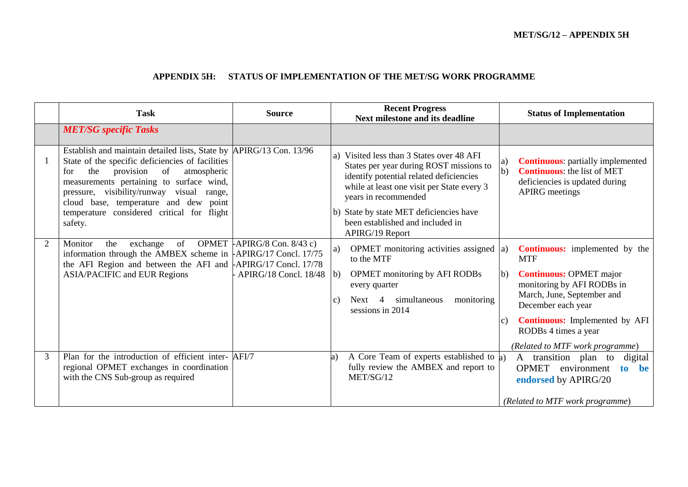#### **APPENDIX 5H: STATUS OF IMPLEMENTATION OF THE MET/SG WORK PROGRAMME**

|   | <b>Task</b>                                                                                                                                                                                                                                                                                                                                                           | <b>Source</b>                                         | <b>Recent Progress</b><br><b>Next milestone and its deadline</b>                                                                                                                                                                                                                                           | <b>Status of Implementation</b>                                                                                                                                                                                                                                                                            |
|---|-----------------------------------------------------------------------------------------------------------------------------------------------------------------------------------------------------------------------------------------------------------------------------------------------------------------------------------------------------------------------|-------------------------------------------------------|------------------------------------------------------------------------------------------------------------------------------------------------------------------------------------------------------------------------------------------------------------------------------------------------------------|------------------------------------------------------------------------------------------------------------------------------------------------------------------------------------------------------------------------------------------------------------------------------------------------------------|
|   | <b>MET/SG</b> specific Tasks                                                                                                                                                                                                                                                                                                                                          |                                                       |                                                                                                                                                                                                                                                                                                            |                                                                                                                                                                                                                                                                                                            |
|   | Establish and maintain detailed lists, State by APIRG/13 Con. 13/96<br>State of the specific deficiencies of facilities<br>provision<br>of<br>the<br>atmospheric<br>for<br>measurements pertaining to surface wind,<br>pressure, visibility/runway visual<br>range,<br>cloud base, temperature and dew point<br>temperature considered critical for flight<br>safety. |                                                       | Visited less than 3 States over 48 AFI<br>a)<br>States per year during ROST missions to<br>identify potential related deficiencies<br>while at least one visit per State every 3<br>years in recommended<br>b) State by state MET deficiencies have<br>been established and included in<br>APIRG/19 Report | <b>Continuous:</b> partially implemented<br>a)<br>$\mathbf{b}$<br><b>Continuous:</b> the list of MET<br>deficiencies is updated during<br><b>APIRG</b> meetings                                                                                                                                            |
| 2 | of<br>Monitor<br>the<br>exchange<br>information through the AMBEX scheme in $\text{APIRG}/\text{17}$ Concl. 17/75<br>the AFI Region and between the AFI and $APIRG/17$ Concl. 17/78<br><b>ASIA/PACIFIC and EUR Regions</b>                                                                                                                                            | OPMET $APIRG/8$ Con. 8/43 c)<br>APIRG/18 Concl. 18/48 | OPMET monitoring activities assigned $ a\rangle$<br>a)<br>to the MTF<br><b>OPMET</b> monitoring by AFI RODBs<br>$\vert b \rangle$<br>every quarter<br>monitoring<br>Next 4<br>simultaneous<br>$\mathcal{C}$ )<br>sessions in 2014                                                                          | <b>Continuous:</b> implemented by the<br><b>MTF</b><br><b>Continuous: OPMET major</b><br>$\vert b)$<br>monitoring by AFI RODBs in<br>March, June, September and<br>December each year<br><b>Continuous:</b> Implemented by AFI<br>$\mathcal{C}$<br>RODBs 4 times a year<br>(Related to MTF work programme) |
| 3 | Plan for the introduction of efficient inter- AFI/7<br>regional OPMET exchanges in coordination<br>with the CNS Sub-group as required                                                                                                                                                                                                                                 |                                                       | A Core Team of experts established to a)<br>a)<br>fully review the AMBEX and report to<br>MET/SG/12                                                                                                                                                                                                        | transition plan to<br>digital<br>A<br><b>OPMET</b><br>environment<br>to<br>be<br>endorsed by APIRG/20<br>(Related to MTF work programme)                                                                                                                                                                   |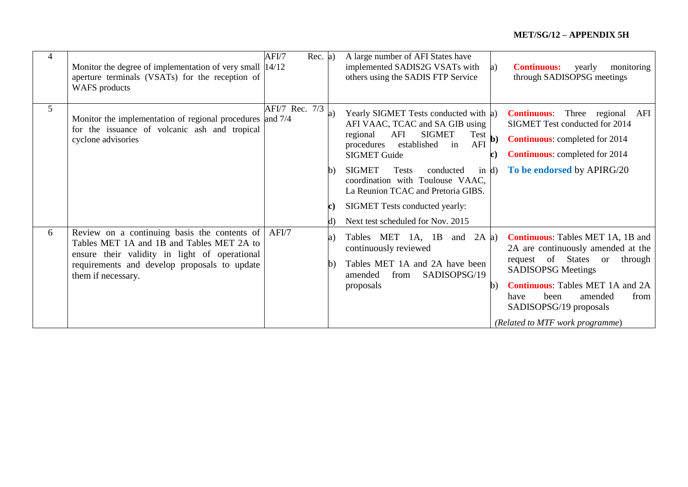| 4 | Monitor the degree of implementation of very small $ 14/12 $<br>aperture terminals (VSATs) for the reception of<br><b>WAFS</b> products                                                                          | AFI/7          | Rec. a) |              | A large number of AFI States have<br>implemented SADIS2G VSATs with<br>others using the SADIS FTP Service                                                                                                                                                                                                                                                                                    | a) | <b>Continuous:</b><br>monitoring<br>yearly<br>through SADISOPSG meetings                                                                                                                                                                                                                  |
|---|------------------------------------------------------------------------------------------------------------------------------------------------------------------------------------------------------------------|----------------|---------|--------------|----------------------------------------------------------------------------------------------------------------------------------------------------------------------------------------------------------------------------------------------------------------------------------------------------------------------------------------------------------------------------------------------|----|-------------------------------------------------------------------------------------------------------------------------------------------------------------------------------------------------------------------------------------------------------------------------------------------|
| 5 | Monitor the implementation of regional procedures and 7/4<br>for the issuance of volcanic ash and tropical<br>cyclone advisories                                                                                 | AFI/7 Rec. 7/3 |         | $\mathbf{b}$ | Yearly SIGMET Tests conducted with a)<br>AFI VAAC, TCAC and SA GIB using<br><b>SIGMET</b><br>AFI<br>$Test$ b)<br>regional<br>AFI<br>established<br>procedures<br>in<br><b>SIGMET Guide</b><br><b>SIGMET</b><br>Tests<br>conducted<br>in $d$<br>coordination with Toulouse VAAC,<br>La Reunion TCAC and Pretoria GIBS.<br>SIGMET Tests conducted yearly:<br>Next test scheduled for Nov. 2015 | C) | Three regional AFI<br><b>Continuous:</b><br>SIGMET Test conducted for 2014<br><b>Continuous:</b> completed for 2014<br><b>Continuous:</b> completed for 2014<br>To be endorsed by APIRG/20                                                                                                |
| 6 | Review on a continuing basis the contents of<br>Tables MET 1A and 1B and Tables MET 2A to<br>ensure their validity in light of operational<br>requirements and develop proposals to update<br>them if necessary. | AFI/7          |         | a)<br>b)     | Tables MET<br>and $2A$ a)<br>1A, 1B<br>continuously reviewed<br>Tables MET 1A and 2A have been<br>SADISOPSG/19<br>amended<br>from<br>proposals                                                                                                                                                                                                                                               | b) | <b>Continuous:</b> Tables MET 1A, 1B and<br>2A are continuously amended at the<br>request of States or<br>through<br><b>SADISOPSG Meetings</b><br><b>Continuous:</b> Tables MET 1A and 2A<br>been<br>amended<br>from<br>have<br>SADISOPSG/19 proposals<br>(Related to MTF work programme) |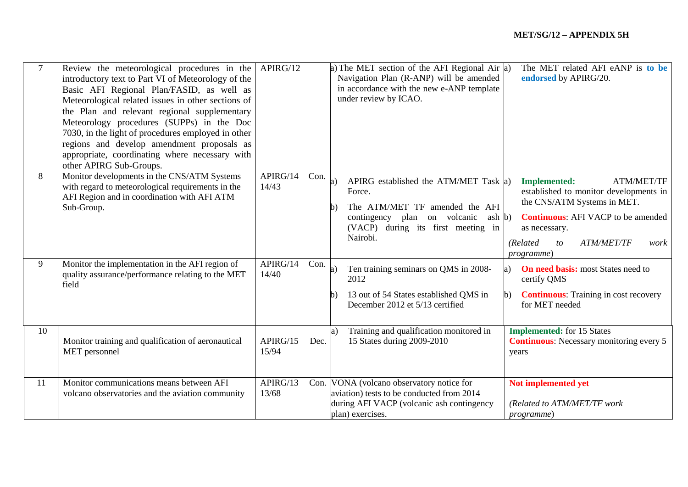| $7\phantom{.0}$ | Review the meteorological procedures in the $APIRG/12$<br>introductory text to Part VI of Meteorology of the<br>Basic AFI Regional Plan/FASID, as well as<br>Meteorological related issues in other sections of<br>the Plan and relevant regional supplementary<br>Meteorology procedures (SUPPs) in the Doc<br>7030, in the light of procedures employed in other<br>regions and develop amendment proposals as<br>appropriate, coordinating where necessary with<br>other APIRG Sub-Groups. |                   |      | a) The MET section of the AFI Regional Air $ a\rangle$<br>Navigation Plan (R-ANP) will be amended<br>in accordance with the new e-ANP template<br>under review by ICAO.                   | The MET related AFI eANP is to be<br>endorsed by APIRG/20.                                                                                                                                                                                           |
|-----------------|-----------------------------------------------------------------------------------------------------------------------------------------------------------------------------------------------------------------------------------------------------------------------------------------------------------------------------------------------------------------------------------------------------------------------------------------------------------------------------------------------|-------------------|------|-------------------------------------------------------------------------------------------------------------------------------------------------------------------------------------------|------------------------------------------------------------------------------------------------------------------------------------------------------------------------------------------------------------------------------------------------------|
| 8               | Monitor developments in the CNS/ATM Systems<br>with regard to meteorological requirements in the<br>AFI Region and in coordination with AFI ATM<br>Sub-Group.                                                                                                                                                                                                                                                                                                                                 | APIRG/14<br>14/43 | Con. | APIRG established the ATM/MET Task a)<br>a)<br>Force.<br>The ATM/MET TF amended the AFI<br>b)<br>contingency plan on volcanic<br>ash b)<br>(VACP) during its first meeting in<br>Nairobi. | <b>Implemented:</b><br><b>ATM/MET/TF</b><br>established to monitor developments in<br>the CNS/ATM Systems in MET.<br><b>Continuous:</b> AFI VACP to be amended<br>as necessary.<br>(Related<br><b>ATM/MET/TF</b><br>to<br>work<br><i>programme</i> ) |
| 9               | Monitor the implementation in the AFI region of<br>quality assurance/performance relating to the MET<br>field                                                                                                                                                                                                                                                                                                                                                                                 | APIRG/14<br>14/40 | Con. | Ten training seminars on QMS in 2008-<br>a)<br>2012<br>13 out of 54 States established QMS in<br>b)<br>December 2012 et 5/13 certified                                                    | <b>On need basis:</b> most States need to<br>a)<br>certify QMS<br><b>Continuous:</b> Training in cost recovery<br>$\mathbf{b}$<br>for MET needed                                                                                                     |
| 10              | Monitor training and qualification of aeronautical<br>MET personnel                                                                                                                                                                                                                                                                                                                                                                                                                           | APIRG/15<br>15/94 | Dec. | Training and qualification monitored in<br>15 States during 2009-2010                                                                                                                     | <b>Implemented:</b> for 15 States<br><b>Continuous:</b> Necessary monitoring every 5<br>years                                                                                                                                                        |
| 11              | Monitor communications means between AFI<br>volcano observatories and the aviation community                                                                                                                                                                                                                                                                                                                                                                                                  | APIRG/13<br>13/68 |      | Con. VONA (volcano observatory notice for<br>aviation) tests to be conducted from 2014<br>during AFI VACP (volcanic ash contingency<br>plan) exercises.                                   | Not implemented yet<br>(Related to ATM/MET/TF work<br><i>programme</i> )                                                                                                                                                                             |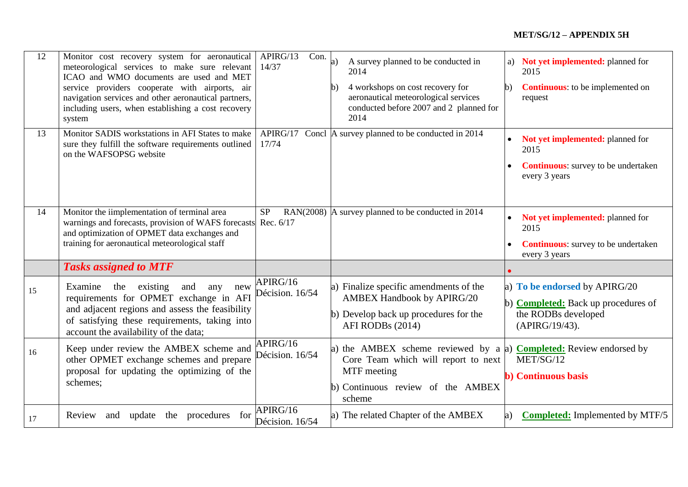| 12 | Monitor cost recovery system for aeronautical<br>meteorological services to make sure relevant<br>ICAO and WMO documents are used and MET<br>service providers cooperate with airports, air<br>navigation services and other aeronautical partners,<br>including users, when establishing a cost recovery<br>system | $\overline{\text{Con}}$ .<br>APIRG/13<br>14/37 | A survey planned to be conducted in<br>2014<br>4 workshops on cost recovery for<br>$\mathbf{b}$<br>aeronautical meteorological services<br>conducted before 2007 and 2 planned for<br>2014 | a) Not yet implemented: planned for<br>2015<br><b>Continuous:</b> to be implemented on<br>b)<br>request              |
|----|---------------------------------------------------------------------------------------------------------------------------------------------------------------------------------------------------------------------------------------------------------------------------------------------------------------------|------------------------------------------------|--------------------------------------------------------------------------------------------------------------------------------------------------------------------------------------------|----------------------------------------------------------------------------------------------------------------------|
| 13 | Monitor SADIS workstations in AFI States to make<br>sure they fulfill the software requirements outlined<br>on the WAFSOPSG website                                                                                                                                                                                 | APIRG/17<br>17/74                              | Concl A survey planned to be conducted in 2014                                                                                                                                             | Not yet implemented: planned for<br>2015<br><b>Continuous:</b> survey to be undertaken<br>every 3 years              |
| 14 | Monitor the iimplementation of terminal area<br>warnings and forecasts, provision of WAFS forecasts<br>and optimization of OPMET data exchanges and<br>training for aeronautical meteorological staff                                                                                                               | <b>SP</b><br>Rec. 6/17                         | RAN(2008) $\vert$ A survey planned to be conducted in 2014                                                                                                                                 | Not yet implemented: planned for<br>2015<br><b>Continuous:</b> survey to be undertaken<br>every 3 years              |
|    | <b>Tasks assigned to MTF</b>                                                                                                                                                                                                                                                                                        |                                                |                                                                                                                                                                                            |                                                                                                                      |
| 15 | Examine<br>existing<br>the<br>and<br>any<br>new<br>requirements for OPMET exchange in AFI<br>and adjacent regions and assess the feasibility<br>of satisfying these requirements, taking into<br>account the availability of the data;                                                                              | APIRG/16<br>Décision. 16/54                    | a) Finalize specific amendments of the<br><b>AMBEX Handbook by APIRG/20</b><br>b) Develop back up procedures for the<br>AFI RODBs (2014)                                                   | a) To be endorsed by APIRG/20<br>b) <b>Completed:</b> Back up procedures of<br>the RODBs developed<br>(APIRG/19/43). |
| 16 | Keep under review the AMBEX scheme and<br>other OPMET exchange schemes and prepare<br>proposal for updating the optimizing of the<br>schemes;                                                                                                                                                                       | APIRG/16<br>Décision. 16/54                    | the AMBEX scheme reviewed by a a)<br>a)<br>Core Team which will report to next<br>MTF meeting<br>b) Continuous review of the AMBEX<br>scheme                                               | <b>Completed:</b> Review endorsed by<br>MET/SG/12<br><b>b</b> ) Continuous basis                                     |
| 17 | update the procedures for<br>Review<br>and                                                                                                                                                                                                                                                                          | APIRG/16<br>Décision. 16/54                    | a) The related Chapter of the AMBEX                                                                                                                                                        | <b>Completed:</b> Implemented by MTF/5<br>a)                                                                         |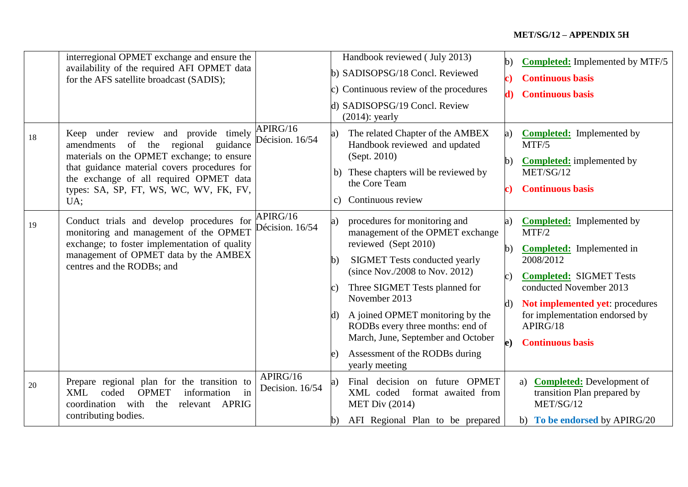|          | interregional OPMET exchange and ensure the<br>availability of the required AFI OPMET data<br>for the AFS satellite broadcast (SADIS);                                                                                                                                                                                                                                                                                                                                                  |                                                            |                                                            | Handbook reviewed (July 2013)<br>b) SADISOPSG/18 Concl. Reviewed<br>c) Continuous review of the procedures<br>d) SADISOPSG/19 Concl. Review<br>$(2014)$ : yearly                                                                                                                                                                                                                                                                                                                                                                                             | (b                       | <b>Completed:</b> Implemented by MTF/5<br><b>Continuous basis</b><br><b>Continuous basis</b>                                                                                                                                                                                                                                                                                                 |
|----------|-----------------------------------------------------------------------------------------------------------------------------------------------------------------------------------------------------------------------------------------------------------------------------------------------------------------------------------------------------------------------------------------------------------------------------------------------------------------------------------------|------------------------------------------------------------|------------------------------------------------------------|--------------------------------------------------------------------------------------------------------------------------------------------------------------------------------------------------------------------------------------------------------------------------------------------------------------------------------------------------------------------------------------------------------------------------------------------------------------------------------------------------------------------------------------------------------------|--------------------------|----------------------------------------------------------------------------------------------------------------------------------------------------------------------------------------------------------------------------------------------------------------------------------------------------------------------------------------------------------------------------------------------|
| 18<br>19 | Keep under review and provide timely<br>amendments of the regional<br>guidance<br>materials on the OPMET exchange; to ensure<br>that guidance material covers procedures for<br>the exchange of all required OPMET data<br>types: SA, SP, FT, WS, WC, WV, FK, FV,<br>UA;<br>Conduct trials and develop procedures for<br>monitoring and management of the OPMET<br>exchange; to foster implementation of quality<br>management of OPMET data by the AMBEX<br>centres and the RODBs; and | APIRG/16<br>Décision. 16/54<br>APIRG/16<br>Décision. 16/54 | a)<br>$\mathbf{c}$ )<br>$\mathbf b$ )<br>$\mathbf{d}$<br>e | The related Chapter of the AMBEX<br>Handbook reviewed and updated<br>(Sept. 2010)<br>b) These chapters will be reviewed by<br>the Core Team<br>Continuous review<br>procedures for monitoring and<br>management of the OPMET exchange<br>reviewed (Sept 2010)<br><b>SIGMET Tests conducted yearly</b><br>(since Nov./2008 to Nov. 2012)<br>Three SIGMET Tests planned for<br>November 2013<br>A joined OPMET monitoring by the<br>RODBs every three months: end of<br>March, June, September and October<br>Assessment of the RODBs during<br>yearly meeting | a)<br>b)<br>$\mathbf{d}$ | <b>Completed:</b> Implemented by<br>MTF/5<br><b>Completed:</b> implemented by<br>MET/SG/12<br><b>Continuous basis</b><br><b>Completed:</b> Implemented by<br>MTF/2<br><b>Completed:</b> Implemented in<br>2008/2012<br><b>Completed: SIGMET Tests</b><br>conducted November 2013<br>Not implemented yet: procedures<br>for implementation endorsed by<br>APIRG/18<br><b>Continuous basis</b> |
| 20       | Prepare regional plan for the transition to<br><b>XML</b><br>coded<br><b>OPMET</b><br>information<br>in<br>coordination with<br>the<br><b>APRIG</b><br>relevant<br>contributing bodies.                                                                                                                                                                                                                                                                                                 | APIRG/16<br>Decision. 16/54                                | a)<br>b)                                                   | Final decision on future OPMET<br>XML coded<br>format awaited from<br><b>MET Div (2014)</b><br>AFI Regional Plan to be prepared                                                                                                                                                                                                                                                                                                                                                                                                                              |                          | <b>Completed:</b> Development of<br>a)<br>transition Plan prepared by<br>MET/SG/12<br>b) To be endorsed by APIRG/20                                                                                                                                                                                                                                                                          |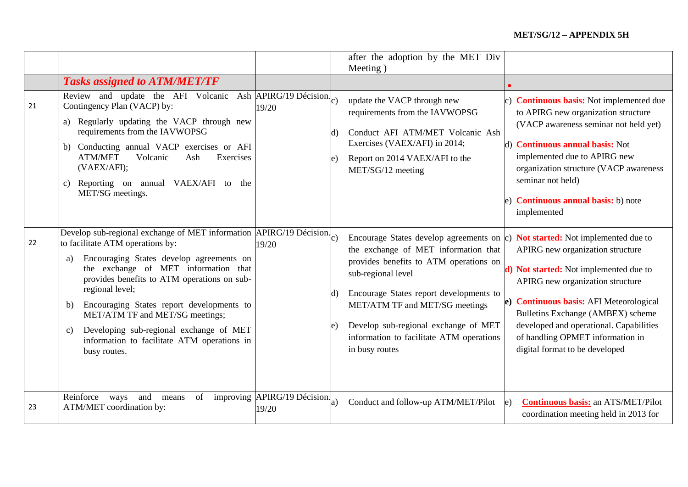|    |                                                                                                                                                                                                                                                                                                                                                                                                                                                                                        |                                         | after the adoption by the MET Div                                                                                                                                                                                                                                                                                                                                                                         |                                                                                                                                                                                                                                                                                                                                       |
|----|----------------------------------------------------------------------------------------------------------------------------------------------------------------------------------------------------------------------------------------------------------------------------------------------------------------------------------------------------------------------------------------------------------------------------------------------------------------------------------------|-----------------------------------------|-----------------------------------------------------------------------------------------------------------------------------------------------------------------------------------------------------------------------------------------------------------------------------------------------------------------------------------------------------------------------------------------------------------|---------------------------------------------------------------------------------------------------------------------------------------------------------------------------------------------------------------------------------------------------------------------------------------------------------------------------------------|
|    |                                                                                                                                                                                                                                                                                                                                                                                                                                                                                        |                                         | Meeting)                                                                                                                                                                                                                                                                                                                                                                                                  |                                                                                                                                                                                                                                                                                                                                       |
|    | <b>Tasks assigned to ATM/MET/TF</b>                                                                                                                                                                                                                                                                                                                                                                                                                                                    |                                         |                                                                                                                                                                                                                                                                                                                                                                                                           |                                                                                                                                                                                                                                                                                                                                       |
| 21 | Review and update the AFI Volcanic Ash $\overline{APIRG/19}$ Décision.<br>Contingency Plan (VACP) by:<br>a) Regularly updating the VACP through new<br>requirements from the IAVWOPSG<br>b) Conducting annual VACP exercises or AFI<br><b>ATM/MET</b><br>Volcanic<br>Ash<br>Exercises<br>(VAEX/AFI);<br>Reporting on annual VAEX/AFI to<br>the<br>C)<br>MET/SG meetings.                                                                                                               | 19/20                                   | update the VACP through new<br>requirements from the IAVWOPSG<br>Conduct AFI ATM/MET Volcanic Ash<br>$\mathbf{d}$<br>Exercises (VAEX/AFI) in 2014;<br>Report on 2014 VAEX/AFI to the<br>e)<br>MET/SG/12 meeting                                                                                                                                                                                           | c) <b>Continuous basis:</b> Not implemented due<br>to APIRG new organization structure<br>(VACP awareness seminar not held yet)<br>d) <b>Continuous annual basis:</b> Not<br>implemented due to APIRG new<br>organization structure (VACP awareness<br>seminar not held)<br>e) <b>Continuous annual basis:</b> b) note<br>implemented |
| 22 | Develop sub-regional exchange of MET information $\overline{APIRG}/19$ Décision.<br>to facilitate ATM operations by:<br>Encouraging States develop agreements on<br>a)<br>the exchange of MET information that<br>provides benefits to ATM operations on sub-<br>regional level;<br>Encouraging States report developments to<br>b)<br>MET/ATM TF and MET/SG meetings;<br>Developing sub-regional exchange of MET<br>C)<br>information to facilitate ATM operations in<br>busy routes. | 19/20                                   | Encourage States develop agreements on $\mathbf c$ ) Not started: Not implemented due to<br>the exchange of MET information that<br>provides benefits to ATM operations on<br>sub-regional level<br>Encourage States report developments to<br>$\mathbf{d}$<br>MET/ATM TF and MET/SG meetings<br>Develop sub-regional exchange of MET<br>e)<br>information to facilitate ATM operations<br>in busy routes | APIRG new organization structure<br>d) Not started: Not implemented due to<br>APIRG new organization structure<br>e) Continuous basis: AFI Meteorological<br>Bulletins Exchange (AMBEX) scheme<br>developed and operational. Capabilities<br>of handling OPMET information in<br>digital format to be developed                       |
| 23 | Reinforce<br>and<br>of<br>ways<br>means<br>ATM/MET coordination by:                                                                                                                                                                                                                                                                                                                                                                                                                    | improving $APIRG/19$ Décision.<br>19/20 | Conduct and follow-up ATM/MET/Pilot                                                                                                                                                                                                                                                                                                                                                                       | <b>Continuous basis:</b> an ATS/MET/Pilot<br>$\epsilon$ )<br>coordination meeting held in 2013 for                                                                                                                                                                                                                                    |